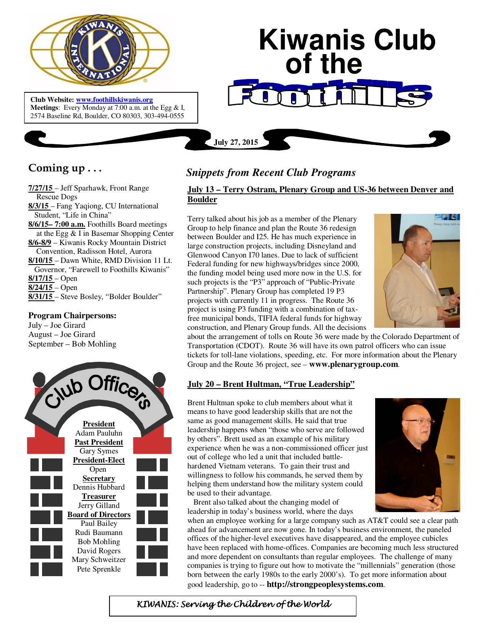

 **Meetings**: Every Monday at 7:00 a.m. at the Egg & I, **Club Website: www.foothillskiwanis.org** 2574 Baseline Rd, Boulder, CO 80303, 303-494-0555

# **Kiwanis Club of the July 27, 2015**

## **Coming up . . .**

**7/27/15** – Jeff Sparhawk, Front Range Rescue Dogs **8/3/15** – Fang Yaqiong, CU International Student, "Life in China" **8/6/15– 7:00 a.m.** Foothills Board meetings at the Egg & I in Basemar Shopping Center **8/6-8/9** – Kiwanis Rocky Mountain District Convention, Radisson Hotel, Aurora **8/10/15** – Dawn White, RMD Division 11 Lt. Governor, "Farewell to Foothills Kiwanis" **8/17/15** – Open **8/24/15** – Open **8/31/15** – Steve Bosley, "Bolder Boulder"

#### **Program Chairpersons:**

July – Joe Girard August – Joe Girard September – Bob Mohling



### *Snippets from Recent Club Programs*

#### **July 13 – Terry Ostram, Plenary Group and US-36 between Denver and Boulder**

Terry talked about his job as a member of the Plenary Group to help finance and plan the Route 36 redesign between Boulder and I25. He has much experience in large construction projects, including Disneyland and Glenwood Canyon I70 lanes. Due to lack of sufficient Federal funding for new highways/bridges since 2000, the funding model being used more now in the U.S. for such projects is the "P3" approach of "Public-Private Partnership". Plenary Group has completed 19 P3 projects with currently 11 in progress. The Route 36 project is using P3 funding with a combination of taxfree municipal bonds, TIFIA federal funds for highway construction, and Plenary Group funds. All the decisions



about the arrangement of tolls on Route 36 were made by the Colorado Department of Transportation (CDOT). Route 36 will have its own patrol officers who can issue tickets for toll-lane violations, speeding, etc. For more information about the Plenary Group and the Route 36 project, see – **www.plenarygroup.com**.

#### **July 20 – Brent Hultman, "True Leadership"**

Brent Hultman spoke to club members about what it means to have good leadership skills that are not the same as good management skills. He said that true leadership happens when "those who serve are followed by others". Brett used as an example of his military experience when he was a non-commissioned officer just out of college who led a unit that included battlehardened Vietnam veterans. To gain their trust and willingness to follow his commands, he served them by helping them understand how the military system could be used to their advantage.

 Brent also talked about the changing model of leadership in today's business world, where the days

when an employee working for a large company such as AT&T could see a clear path ahead for advancement are now gone. In today's business environment, the paneled offices of the higher-level executives have disappeared, and the employee cubicles have been replaced with home-offices. Companies are becoming much less structured and more dependent on consultants than regular employees. The challenge of many companies is trying to figure out how to motivate the "millennials" generation (those born between the early 1980s to the early 2000's). To get more information about good leadership, go to -- **http://strongpeoplesystems.com**.

KIWANIS: Serving the Children of the World